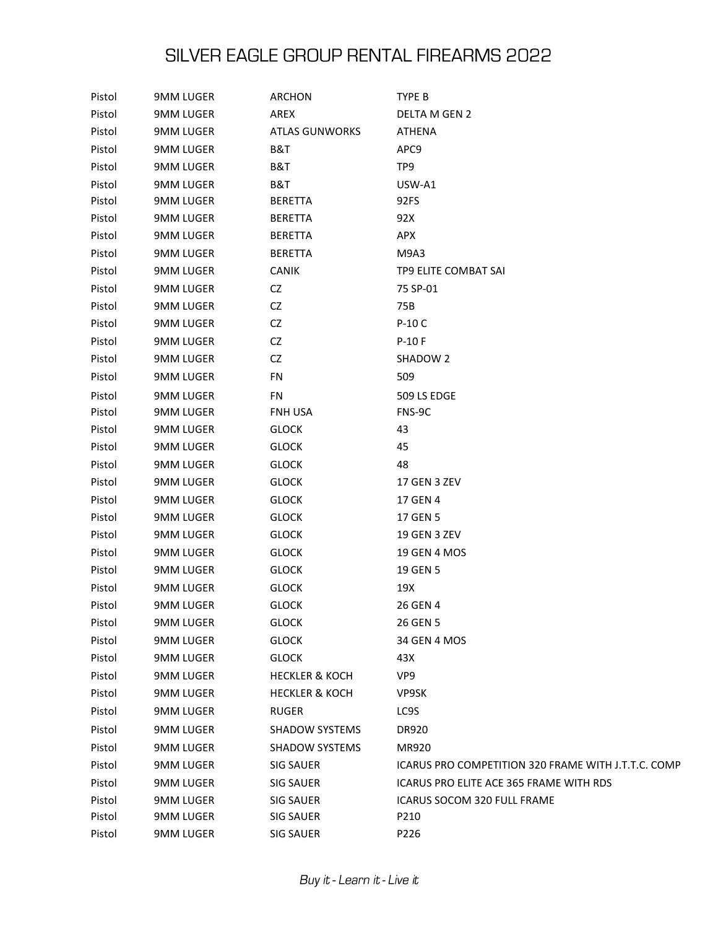| Pistol | 9MM LUGER        | ARCHON                    | TYPE B                                              |
|--------|------------------|---------------------------|-----------------------------------------------------|
| Pistol | <b>9MM LUGER</b> | AREX                      | DELTA M GEN 2                                       |
| Pistol | <b>9MM LUGER</b> | <b>ATLAS GUNWORKS</b>     | ATHENA                                              |
| Pistol | <b>9MM LUGER</b> | B&T                       | APC9                                                |
| Pistol | <b>9MM LUGER</b> | B&T                       | TP9                                                 |
| Pistol | <b>9MM LUGER</b> | B&T                       | USW-A1                                              |
| Pistol | 9MM LUGER        | <b>BERETTA</b>            | 92FS                                                |
| Pistol | <b>9MM LUGER</b> | <b>BERETTA</b>            | 92X                                                 |
| Pistol | 9MM LUGER        | <b>BERETTA</b>            | APX                                                 |
| Pistol | <b>9MM LUGER</b> | <b>BERETTA</b>            | M9A3                                                |
| Pistol | 9MM LUGER        | <b>CANIK</b>              | TP9 ELITE COMBAT SAI                                |
| Pistol | <b>9MM LUGER</b> | CZ                        | 75 SP-01                                            |
| Pistol | 9MM LUGER        | CZ                        | 75B                                                 |
| Pistol | <b>9MM LUGER</b> | CZ                        | P-10 C                                              |
| Pistol | 9MM LUGER        | CZ                        | P-10 F                                              |
| Pistol | <b>9MM LUGER</b> | CZ                        | SHADOW 2                                            |
| Pistol | 9MM LUGER        | FN                        | 509                                                 |
| Pistol | <b>9MM LUGER</b> | FN                        | 509 LS EDGE                                         |
| Pistol | 9MM LUGER        | FNH USA                   | FNS-9C                                              |
| Pistol | <b>9MM LUGER</b> | <b>GLOCK</b>              | 43                                                  |
| Pistol | 9MM LUGER        | <b>GLOCK</b>              | 45                                                  |
| Pistol | <b>9MM LUGER</b> | <b>GLOCK</b>              | 48                                                  |
| Pistol | 9MM LUGER        | <b>GLOCK</b>              | 17 GEN 3 ZEV                                        |
| Pistol | <b>9MM LUGER</b> | <b>GLOCK</b>              | 17 GEN 4                                            |
| Pistol | 9MM LUGER        | <b>GLOCK</b>              | 17 GEN 5                                            |
| Pistol | <b>9MM LUGER</b> | <b>GLOCK</b>              | 19 GEN 3 ZEV                                        |
| Pistol | 9MM LUGER        | <b>GLOCK</b>              | 19 GEN 4 MOS                                        |
| Pistol | <b>9MM LUGER</b> | <b>GLOCK</b>              | 19 GEN 5                                            |
| Pistol | 9MM LUGER        | <b>GLOCK</b>              | 19X                                                 |
| Pistol | <b>9MM LUGER</b> | <b>GLOCK</b>              | 26 GEN 4                                            |
| Pistol | 9MM LUGER        | <b>GLOCK</b>              | 26 GEN 5                                            |
| Pistol | <b>9MM LUGER</b> | <b>GLOCK</b>              | 34 GEN 4 MOS                                        |
| Pistol | <b>9MM LUGER</b> | <b>GLOCK</b>              | 43X                                                 |
| Pistol | <b>9MM LUGER</b> | <b>HECKLER &amp; KOCH</b> | VP <sub>9</sub>                                     |
| Pistol | <b>9MM LUGER</b> | <b>HECKLER &amp; KOCH</b> | VP9SK                                               |
| Pistol | <b>9MM LUGER</b> | <b>RUGER</b>              | LC9S                                                |
| Pistol | <b>9MM LUGER</b> | <b>SHADOW SYSTEMS</b>     | DR920                                               |
| Pistol | <b>9MM LUGER</b> | <b>SHADOW SYSTEMS</b>     | MR920                                               |
| Pistol | <b>9MM LUGER</b> | <b>SIG SAUER</b>          | ICARUS PRO COMPETITION 320 FRAME WITH J.T.T.C. COMP |
| Pistol | <b>9MM LUGER</b> | <b>SIG SAUER</b>          | ICARUS PRO ELITE ACE 365 FRAME WITH RDS             |
| Pistol | <b>9MM LUGER</b> | <b>SIG SAUER</b>          | ICARUS SOCOM 320 FULL FRAME                         |
| Pistol | 9MM LUGER        | <b>SIG SAUER</b>          | P210                                                |
| Pistol | 9MM LUGER        | <b>SIG SAUER</b>          | P226                                                |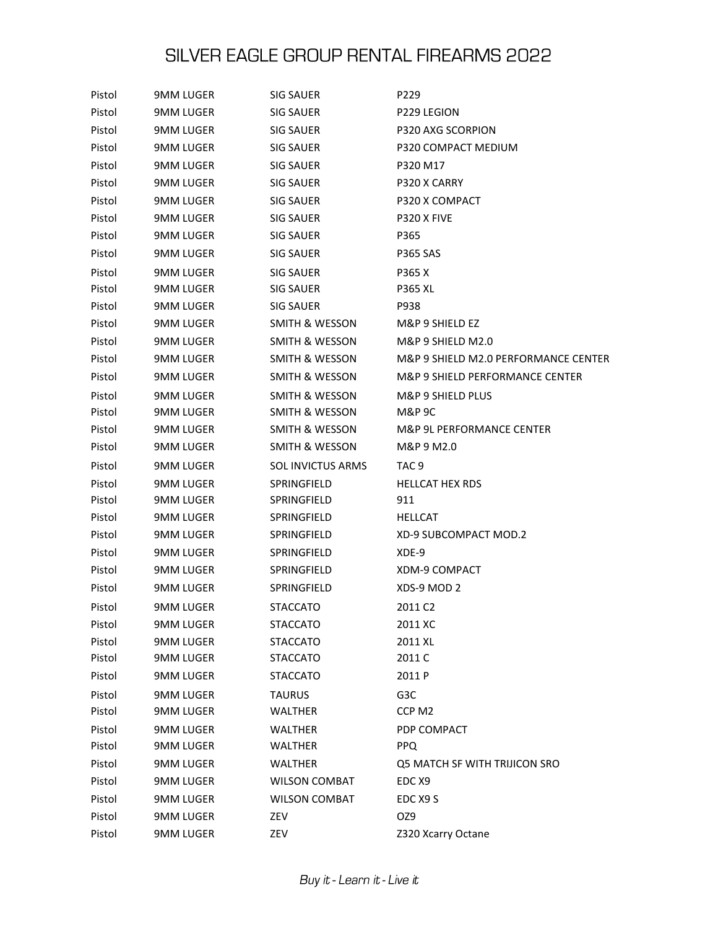| Pistol | <b>9MM LUGER</b> | SIG SAUER                 | P229                                 |
|--------|------------------|---------------------------|--------------------------------------|
| Pistol | 9MM LUGER        | <b>SIG SAUER</b>          | P229 LEGION                          |
| Pistol | <b>9MM LUGER</b> | <b>SIG SAUER</b>          | P320 AXG SCORPION                    |
| Pistol | <b>9MM LUGER</b> | SIG SAUER                 | P320 COMPACT MEDIUM                  |
| Pistol | <b>9MM LUGER</b> | SIG SAUER                 | P320 M17                             |
| Pistol | <b>9MM LUGER</b> | SIG SAUER                 | P320 X CARRY                         |
| Pistol | <b>9MM LUGER</b> | SIG SAUER                 | P320 X COMPACT                       |
| Pistol | <b>9MM LUGER</b> | <b>SIG SAUER</b>          | P320 X FIVE                          |
| Pistol | 9MM LUGER        | SIG SAUER                 | P365                                 |
| Pistol | <b>9MM LUGER</b> | SIG SAUER                 | <b>P365 SAS</b>                      |
| Pistol | <b>9MM LUGER</b> | <b>SIG SAUER</b>          | P365 X                               |
| Pistol | 9MM LUGER        | SIG SAUER                 | <b>P365 XL</b>                       |
| Pistol | 9MM LUGER        | SIG SAUER                 | P938                                 |
| Pistol | <b>9MM LUGER</b> | <b>SMITH &amp; WESSON</b> | M&P 9 SHIELD EZ                      |
| Pistol | 9MM LUGER        | <b>SMITH &amp; WESSON</b> | M&P 9 SHIELD M2.0                    |
| Pistol | <b>9MM LUGER</b> | <b>SMITH &amp; WESSON</b> | M&P 9 SHIELD M2.0 PERFORMANCE CENTER |
| Pistol | 9MM LUGER        | SMITH & WESSON            | M&P 9 SHIELD PERFORMANCE CENTER      |
| Pistol | <b>9MM LUGER</b> | <b>SMITH &amp; WESSON</b> | M&P 9 SHIELD PLUS                    |
| Pistol | <b>9MM LUGER</b> | SMITH & WESSON            | M&P 9C                               |
| Pistol | <b>9MM LUGER</b> | <b>SMITH &amp; WESSON</b> | M&P 9L PERFORMANCE CENTER            |
| Pistol | 9MM LUGER        | SMITH & WESSON            | M&P 9 M2.0                           |
| Pistol | <b>9MM LUGER</b> | <b>SOL INVICTUS ARMS</b>  | TAC <sub>9</sub>                     |
| Pistol | <b>9MM LUGER</b> | SPRINGFIELD               | <b>HELLCAT HEX RDS</b>               |
| Pistol | 9MM LUGER        | SPRINGFIELD               | 911                                  |
| Pistol | 9MM LUGER        | SPRINGFIELD               | <b>HELLCAT</b>                       |
| Pistol | 9MM LUGER        | SPRINGFIELD               | XD-9 SUBCOMPACT MOD.2                |
| Pistol | <b>9MM LUGER</b> | SPRINGFIELD               | XDE-9                                |
| Pistol | <b>9MM LUGER</b> | SPRINGFIELD               | XDM-9 COMPACT                        |
| Pistol | 9MM LUGER        | SPRINGFIELD               | XDS-9 MOD 2                          |
| Pistol | <b>9MM LUGER</b> | <b>STACCATO</b>           | 2011 C <sub>2</sub>                  |
| Pistol | <b>9MM LUGER</b> | <b>STACCATO</b>           | 2011 XC                              |
| Pistol | <b>9MM LUGER</b> | <b>STACCATO</b>           | 2011 XL                              |
| Pistol | <b>9MM LUGER</b> | STACCATO                  | 2011 C                               |
| Pistol | <b>9MM LUGER</b> | <b>STACCATO</b>           | 2011 P                               |
| Pistol | <b>9MM LUGER</b> | <b>TAURUS</b>             | G3C                                  |
| Pistol | <b>9MM LUGER</b> | WALTHER                   | CCP M2                               |
| Pistol | <b>9MM LUGER</b> | WALTHER                   | PDP COMPACT                          |
| Pistol | <b>9MM LUGER</b> | WALTHER                   | PPQ                                  |
| Pistol | <b>9MM LUGER</b> | <b>WALTHER</b>            | Q5 MATCH SF WITH TRIJICON SRO        |
| Pistol | <b>9MM LUGER</b> | <b>WILSON COMBAT</b>      | EDC <sub>X9</sub>                    |
| Pistol | <b>9MM LUGER</b> | <b>WILSON COMBAT</b>      | EDC X9 S                             |
| Pistol | <b>9MM LUGER</b> | ZEV                       | OZ9                                  |
| Pistol | <b>9MM LUGER</b> | ZEV                       | Z320 Xcarry Octane                   |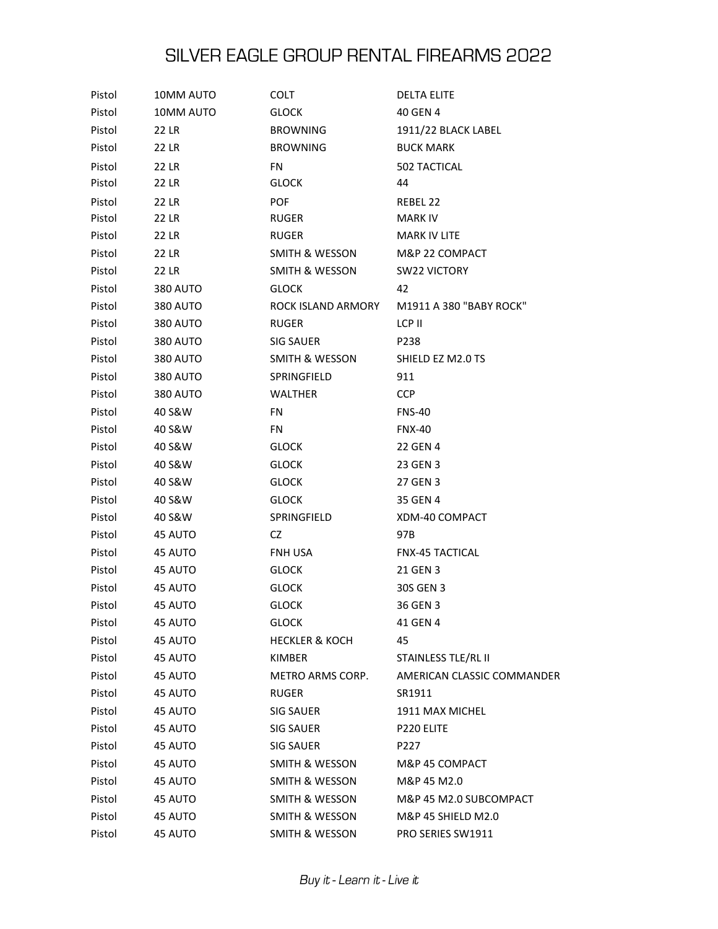| Pistol | 10MM AUTO       | COLT                      | <b>DELTA ELITE</b>         |
|--------|-----------------|---------------------------|----------------------------|
| Pistol | 10MM AUTO       | <b>GLOCK</b>              | 40 GEN 4                   |
| Pistol | 22 LR           | <b>BROWNING</b>           | 1911/22 BLACK LABEL        |
| Pistol | 22 LR           | <b>BROWNING</b>           | <b>BUCK MARK</b>           |
| Pistol | 22 LR           | FN                        | 502 TACTICAL               |
| Pistol | 22 LR           | <b>GLOCK</b>              | 44                         |
| Pistol | 22 LR           | <b>POF</b>                | REBEL 22                   |
| Pistol | 22 LR           | <b>RUGER</b>              | <b>MARK IV</b>             |
| Pistol | 22 LR           | <b>RUGER</b>              | MARK IV LITE               |
| Pistol | 22 LR           | SMITH & WESSON            | M&P 22 COMPACT             |
| Pistol | 22 LR           | <b>SMITH &amp; WESSON</b> | <b>SW22 VICTORY</b>        |
| Pistol | <b>380 AUTO</b> | <b>GLOCK</b>              | 42                         |
| Pistol | <b>380 AUTO</b> | ROCK ISLAND ARMORY        | M1911 A 380 "BABY ROCK"    |
| Pistol | <b>380 AUTO</b> | <b>RUGER</b>              | LCP II                     |
| Pistol | <b>380 AUTO</b> | SIG SAUER                 | P238                       |
| Pistol | <b>380 AUTO</b> | <b>SMITH &amp; WESSON</b> | SHIELD EZ M2.0 TS          |
| Pistol | 380 AUTO        | SPRINGFIELD               | 911                        |
| Pistol | <b>380 AUTO</b> | WALTHER                   | <b>CCP</b>                 |
| Pistol | 40 S&W          | FN                        | <b>FNS-40</b>              |
| Pistol | 40 S&W          | <b>FN</b>                 | <b>FNX-40</b>              |
| Pistol | 40 S&W          | <b>GLOCK</b>              | 22 GEN 4                   |
| Pistol | 40 S&W          | <b>GLOCK</b>              | 23 GEN 3                   |
| Pistol | 40 S&W          | <b>GLOCK</b>              | 27 GEN 3                   |
| Pistol | 40 S&W          | <b>GLOCK</b>              | 35 GEN 4                   |
| Pistol | 40 S&W          | SPRINGFIELD               | XDM-40 COMPACT             |
| Pistol | 45 AUTO         | CZ                        | 97B                        |
| Pistol | 45 AUTO         | FNH USA                   | <b>FNX-45 TACTICAL</b>     |
| Pistol | 45 AUTO         | <b>GLOCK</b>              | 21 GEN 3                   |
| Pistol | 45 AUTO         | <b>GLOCK</b>              | 30S GEN 3                  |
| Pistol | 45 AUTO         | <b>GLOCK</b>              | 36 GEN 3                   |
| Pistol | 45 AUTO         | <b>GLOCK</b>              | 41 GEN 4                   |
| Pistol | 45 AUTO         | <b>HECKLER &amp; KOCH</b> | 45                         |
| Pistol | 45 AUTO         | KIMBER                    | STAINLESS TLE/RL II        |
| Pistol | 45 AUTO         | <b>METRO ARMS CORP.</b>   | AMERICAN CLASSIC COMMANDER |
| Pistol | 45 AUTO         | RUGER                     | SR1911                     |
| Pistol | 45 AUTO         | SIG SAUER                 | 1911 MAX MICHEL            |
| Pistol | 45 AUTO         | SIG SAUER                 | P220 ELITE                 |
| Pistol | 45 AUTO         | SIG SAUER                 | P227                       |
| Pistol | 45 AUTO         | SMITH & WESSON            | M&P 45 COMPACT             |
| Pistol | 45 AUTO         | SMITH & WESSON            | M&P 45 M2.0                |
| Pistol | 45 AUTO         | SMITH & WESSON            | M&P 45 M2.0 SUBCOMPACT     |
| Pistol | 45 AUTO         | SMITH & WESSON            | M&P 45 SHIELD M2.0         |
| Pistol | 45 AUTO         | SMITH & WESSON            | PRO SERIES SW1911          |